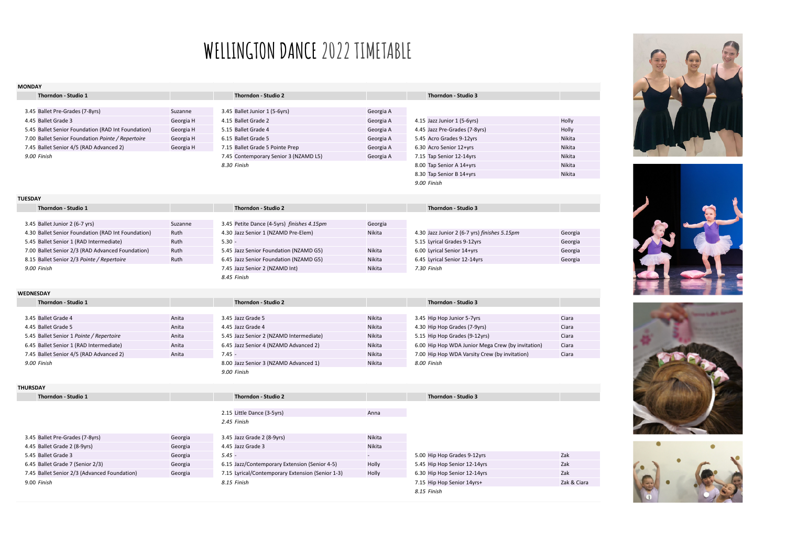## **WELLINGTON DANCE 2022 TIMETABLE**

| <b>MONDAY</b>                                      |           |                                                      |           |                                                   |             |
|----------------------------------------------------|-----------|------------------------------------------------------|-----------|---------------------------------------------------|-------------|
| Thorndon - Studio 1                                |           | Thorndon - Studio 2                                  |           | Thorndon - Studio 3                               |             |
|                                                    |           |                                                      |           |                                                   |             |
| 3.45 Ballet Pre-Grades (7-8yrs)                    | Suzanne   | 3.45 Ballet Junior 1 (5-6yrs)                        | Georgia A |                                                   |             |
| 4.45 Ballet Grade 3                                | Georgia H | 4.15 Ballet Grade 2                                  | Georgia A | 4.15 Jazz Junior 1 (5-6yrs)                       | Holly       |
| 5.45 Ballet Senior Foundation (RAD Int Foundation) | Georgia H | 5.15 Ballet Grade 4                                  | Georgia A | 4.45 Jazz Pre-Grades (7-8yrs)                     | Holly       |
| 7.00 Ballet Senior Foundation Pointe / Repertoire  | Georgia H | 6.15 Ballet Grade 5                                  | Georgia A | 5.45 Acro Grades 9-12yrs                          | Nikita      |
| 7.45 Ballet Senior 4/5 (RAD Advanced 2)            | Georgia H | 7.15 Ballet Grade 5 Pointe Prep                      | Georgia A | 6.30 Acro Senior 12+yrs                           | Nikita      |
| 9.00 Finish                                        |           | 7.45 Contemporary Senior 3 (NZAMD L5)                | Georgia A | 7.15 Tap Senior 12-14yrs                          | Nikita      |
|                                                    |           | 8.30 Finish                                          |           | 8.00 Tap Senior A 14+yrs                          | Nikita      |
|                                                    |           |                                                      |           | 8.30 Tap Senior B 14+yrs                          | Nikita      |
|                                                    |           |                                                      |           | 9.00 Finish                                       |             |
| <b>TUESDAY</b>                                     |           |                                                      |           |                                                   |             |
| Thorndon - Studio 1                                |           | Thorndon - Studio 2                                  |           | Thorndon - Studio 3                               |             |
|                                                    |           |                                                      |           |                                                   |             |
| 3.45 Ballet Junior 2 (6-7 yrs)                     | Suzanne   | 3.45 Petite Dance (4-5yrs) finishes 4.15pm           | Georgia   |                                                   |             |
| 4.30 Ballet Senior Foundation (RAD Int Foundation) | Ruth      | 4.30 Jazz Senior 1 (NZAMD Pre-Elem)                  | Nikita    | 4.30 Jazz Junior 2 (6-7 yrs) finishes 5.15pm      | Georgia     |
| 5.45 Ballet Senior 1 (RAD Intermediate)            | Ruth      | $5.30 -$                                             |           | 5.15 Lyrical Grades 9-12yrs                       | Georgia     |
| 7.00 Ballet Senior 2/3 (RAD Advanced Foundation)   | Ruth      | 5.45 Jazz Senior Foundation (NZAMD G5)               | Nikita    | 6.00 Lyrical Senior 14+yrs                        | Georgia     |
| 8.15 Ballet Senior 2/3 Pointe / Repertoire         | Ruth      | 6.45 Jazz Senior Foundation (NZAMD G5)               | Nikita    | 6.45 Lyrical Senior 12-14yrs                      | Georgia     |
| 9.00 Finish                                        |           | 7.45 Jazz Senior 2 (NZAMD Int)                       | Nikita    | 7.30 Finish                                       |             |
|                                                    |           | 8.45 Finish                                          |           |                                                   |             |
| WEDNESDAY                                          |           |                                                      |           |                                                   |             |
| Thorndon - Studio 1                                |           | Thorndon - Studio 2                                  |           | Thorndon - Studio 3                               |             |
| 3.45 Ballet Grade 4                                | Anita     | 3.45 Jazz Grade 5                                    | Nikita    | 3.45 Hip Hop Junior 5-7yrs                        | Ciara       |
| 4.45 Ballet Grade 5                                | Anita     | 4.45 Jazz Grade 4                                    | Nikita    | 4.30 Hip Hop Grades (7-9yrs)                      | Ciara       |
| 5.45 Ballet Senior 1 Pointe / Repertoire           | Anita     | 5.45 Jazz Senior 2 (NZAMD Intermediate)              | Nikita    | 5.15 Hip Hop Grades (9-12yrs)                     | Ciara       |
| 6.45 Ballet Senior 1 (RAD Intermediate)            | Anita     | 6.45 Jazz Senior 4 (NZAMD Advanced 2)                | Nikita    | 6.00 Hip Hop WDA Junior Mega Crew (by invitation) | Ciara       |
| 7.45 Ballet Senior 4/5 (RAD Advanced 2)            | Anita     | $7.45 -$                                             | Nikita    | 7.00 Hip Hop WDA Varsity Crew (by invitation)     | Ciara       |
| 9.00 Finish                                        |           |                                                      | Nikita    | 8.00 Finish                                       |             |
|                                                    |           | 8.00 Jazz Senior 3 (NZAMD Advanced 1)<br>9.00 Finish |           |                                                   |             |
|                                                    |           |                                                      |           |                                                   |             |
| <b>THURSDAY</b>                                    |           |                                                      |           |                                                   |             |
| Thorndon - Studio 1                                |           | Thorndon - Studio 2                                  |           | Thorndon - Studio 3                               |             |
|                                                    |           | 2.15 Little Dance (3-5yrs)                           | Anna      |                                                   |             |
|                                                    |           | 2.45 Finish                                          |           |                                                   |             |
|                                                    |           |                                                      |           |                                                   |             |
| 3.45 Ballet Pre-Grades (7-8yrs)                    | Georgia   | 3.45 Jazz Grade 2 (8-9yrs)                           | Nikita    |                                                   |             |
| 4.45 Ballet Grade 2 (8-9yrs)                       | Georgia   | 4.45 Jazz Grade 3                                    | Nikita    |                                                   |             |
| 5.45 Ballet Grade 3                                | Georgia   | $5.45 -$                                             |           | 5.00 Hip Hop Grades 9-12yrs                       | Zak         |
| 6.45 Ballet Grade 7 (Senior 2/3)                   | Georgia   | 6.15 Jazz/Contemporary Extension (Senior 4-5)        | Holly     | 5.45 Hip Hop Senior 12-14yrs                      | Zak         |
| 7.45 Ballet Senior 2/3 (Advanced Foundation)       | Georgia   | 7.15 Lyrical/Contemporary Extension (Senior 1-3)     | Holly     | 6.30 Hip Hop Senior 12-14yrs                      | Zak         |
| 9.00 Finish                                        |           | 8.15 Finish                                          |           | 7.15 Hip Hop Senior 14yrs+                        | Zak & Ciara |
|                                                    |           |                                                      |           | 8.15 Finish                                       |             |